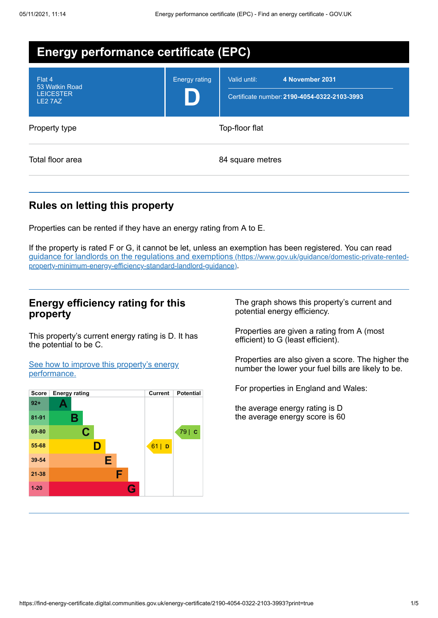| <b>Energy performance certificate (EPC)</b>             |                      |                                                                                 |  |  |
|---------------------------------------------------------|----------------------|---------------------------------------------------------------------------------|--|--|
| Flat 4<br>53 Watkin Road<br><b>LEICESTER</b><br>LE2 7AZ | <b>Energy rating</b> | 4 November 2031<br>Valid until:<br>Certificate number: 2190-4054-0322-2103-3993 |  |  |
| Property type                                           | Top-floor flat       |                                                                                 |  |  |
| Total floor area                                        |                      | 84 square metres                                                                |  |  |

# **Rules on letting this property**

Properties can be rented if they have an energy rating from A to E.

If the property is rated F or G, it cannot be let, unless an exemption has been registered. You can read guidance for landlords on the regulations and exemptions (https://www.gov.uk/guidance/domestic-private-rented[property-minimum-energy-efficiency-standard-landlord-guidance\)](https://www.gov.uk/guidance/domestic-private-rented-property-minimum-energy-efficiency-standard-landlord-guidance).

## **Energy efficiency rating for this property**

This property's current energy rating is D. It has the potential to be C.

See how to improve this property's energy [performance.](#page-2-0)



The graph shows this property's current and potential energy efficiency.

Properties are given a rating from A (most efficient) to G (least efficient).

Properties are also given a score. The higher the number the lower your fuel bills are likely to be.

For properties in England and Wales:

the average energy rating is D the average energy score is 60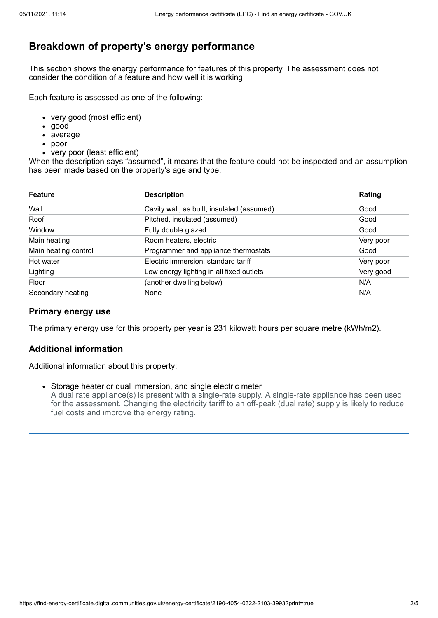# **Breakdown of property's energy performance**

This section shows the energy performance for features of this property. The assessment does not consider the condition of a feature and how well it is working.

Each feature is assessed as one of the following:

- very good (most efficient)
- good
- average
- poor
- very poor (least efficient)

When the description says "assumed", it means that the feature could not be inspected and an assumption has been made based on the property's age and type.

| <b>Feature</b>       | <b>Description</b>                         | Rating    |
|----------------------|--------------------------------------------|-----------|
| Wall                 | Cavity wall, as built, insulated (assumed) | Good      |
| Roof                 | Pitched, insulated (assumed)               | Good      |
| Window               | Fully double glazed                        | Good      |
| Main heating         | Room heaters, electric                     | Very poor |
| Main heating control | Programmer and appliance thermostats       | Good      |
| Hot water            | Electric immersion, standard tariff        | Very poor |
| Lighting             | Low energy lighting in all fixed outlets   | Very good |
| Floor                | (another dwelling below)                   | N/A       |
| Secondary heating    | None                                       | N/A       |

## **Primary energy use**

The primary energy use for this property per year is 231 kilowatt hours per square metre (kWh/m2).

## **Additional information**

Additional information about this property:

Storage heater or dual immersion, and single electric meter A dual rate appliance(s) is present with a single-rate supply. A single-rate appliance has been used for the assessment. Changing the electricity tariff to an off-peak (dual rate) supply is likely to reduce fuel costs and improve the energy rating.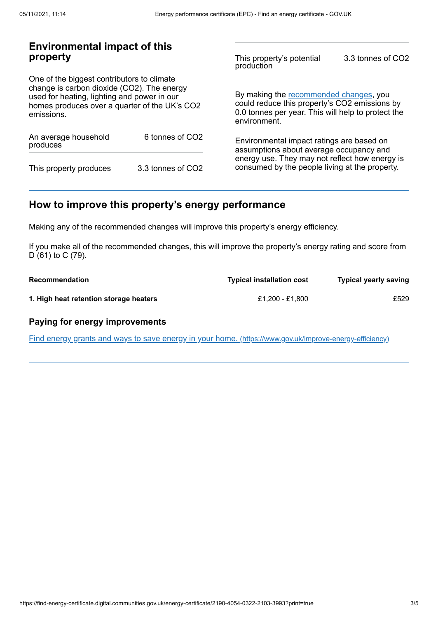# **Environmental impact of this property**

One of the biggest contributors to climate change is carbon dioxide (CO2). The energy used for heating, lighting and power in our homes produces over a quarter of the UK's CO2 emissions.

| An average household<br>produces | 6 tonnes of CO <sub>2</sub> |  |
|----------------------------------|-----------------------------|--|
| This property produces           | 3.3 tonnes of CO2           |  |

This property's potential production 3.3 tonnes of CO2

By making the [recommended](#page-2-0) changes, you could reduce this property's CO2 emissions by 0.0 tonnes per year. This will help to protect the environment.

Environmental impact ratings are based on assumptions about average occupancy and energy use. They may not reflect how energy is consumed by the people living at the property.

# <span id="page-2-0"></span>**How to improve this property's energy performance**

Making any of the recommended changes will improve this property's energy efficiency.

If you make all of the recommended changes, this will improve the property's energy rating and score from D (61) to C (79).

| Recommendation                         | <b>Typical installation cost</b> | <b>Typical yearly saving</b> |
|----------------------------------------|----------------------------------|------------------------------|
| 1. High heat retention storage heaters | £1.200 - £1.800                  | £529                         |

### **Paying for energy improvements**

Find energy grants and ways to save energy in your home. [\(https://www.gov.uk/improve-energy-efficiency\)](https://www.gov.uk/improve-energy-efficiency)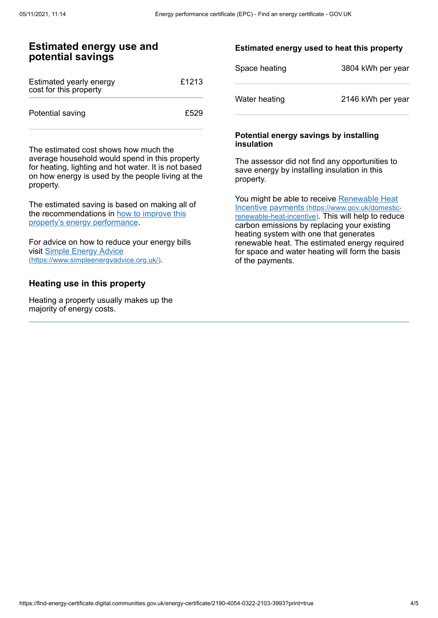## **Estimated energy use and potential savings**

| Estimated yearly energy<br>cost for this property | £1213 |
|---------------------------------------------------|-------|
| Potential saving                                  | £529  |

The estimated cost shows how much the average household would spend in this property for heating, lighting and hot water. It is not based on how energy is used by the people living at the property.

The estimated saving is based on making all of the [recommendations](#page-2-0) in how to improve this property's energy performance.

For advice on how to reduce your energy bills visit Simple Energy Advice [\(https://www.simpleenergyadvice.org.uk/\)](https://www.simpleenergyadvice.org.uk/).

### **Heating use in this property**

Heating a property usually makes up the majority of energy costs.

#### **Estimated energy used to heat this property**

| Space heating | 3804 kWh per year |
|---------------|-------------------|
| Water heating | 2146 kWh per year |

#### **Potential energy savings by installing insulation**

The assessor did not find any opportunities to save energy by installing insulation in this property.

You might be able to receive Renewable Heat Incentive payments [\(https://www.gov.uk/domestic](https://www.gov.uk/domestic-renewable-heat-incentive)renewable-heat-incentive). This will help to reduce carbon emissions by replacing your existing heating system with one that generates renewable heat. The estimated energy required for space and water heating will form the basis of the payments.